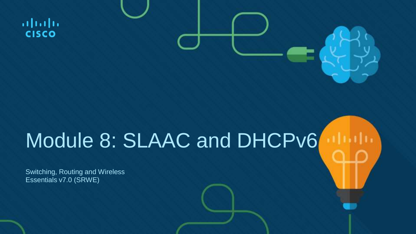$\frac{1}{2}$ **CISCO** 

### Module 8: SLAAC and DHCPv6

Switching, Routing and Wireless Essentials v7.0 (SRWE)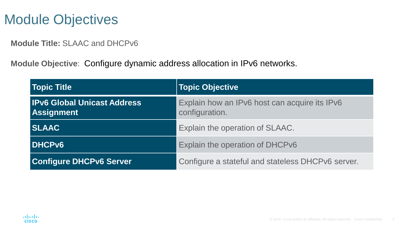### Module Objectives

**Module Title:** SLAAC and DHCPv6

**Module Objective**: Configure dynamic address allocation in IPv6 networks.

| Topic Title                                             | Topic Objective                                                 |
|---------------------------------------------------------|-----------------------------------------------------------------|
| <b>IPv6 Global Unicast Address</b><br><b>Assignment</b> | Explain how an IPv6 host can acquire its IPv6<br>configuration. |
| <b>SLAAC</b>                                            | Explain the operation of SLAAC.                                 |
| <b>DHCPv6</b>                                           | Explain the operation of DHCPv6                                 |
| <b>Configure DHCPv6 Server</b>                          | Configure a stateful and stateless DHCPv6 server.               |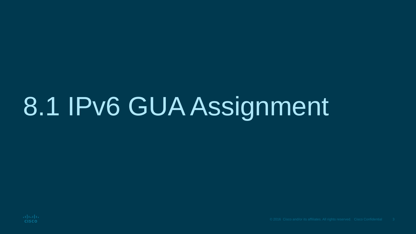# 8.1 IPv6 GUA Assignment

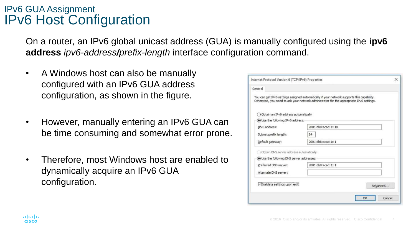#### IPv6 GUA Assignment IPv6 Host Configuration

On a router, an IPv6 global unicast address (GUA) is manually configured using the **ipv6 address** *ipv6-address/prefix-length* interface configuration command.

- A Windows host can also be manually configured with an IPv6 GUA address configuration, as shown in the figure.
- However, manually entering an IPv6 GUA can be time consuming and somewhat error prone.
- Therefore, most Windows host are enabled to dynamically acquire an IPv6 GUA configuration.

| Internet Protocol Version 6 (TCP/IPv6) Properties |                                                                                                                                                                                        | × |
|---------------------------------------------------|----------------------------------------------------------------------------------------------------------------------------------------------------------------------------------------|---|
| General                                           |                                                                                                                                                                                        |   |
|                                                   | You can get IPv6 settings assigned automatically if your network supports this capability.<br>Otherwise, you need to ask your network administrator for the appropriate IPv6 settings. |   |
| Obtain an IPv6 address automatically              |                                                                                                                                                                                        |   |
| Use the following IPv6 address:                   |                                                                                                                                                                                        |   |
| IPv6 address:                                     | 2001:db8:acad:1::10                                                                                                                                                                    |   |
| Subnet prefix length:                             | 64                                                                                                                                                                                     |   |
| Default gateway:                                  | 2001:db8:acad:1::1                                                                                                                                                                     |   |
| Obtain DNS server address automatically           |                                                                                                                                                                                        |   |
| (c) Use the following DNS server addresses:       |                                                                                                                                                                                        |   |
| Preferred DNS server:                             | 2001:db8:acad:1::1                                                                                                                                                                     |   |
| Alternate DNS server:                             |                                                                                                                                                                                        |   |
| Validate settings upon exit                       | Advanced                                                                                                                                                                               |   |
|                                                   |                                                                                                                                                                                        |   |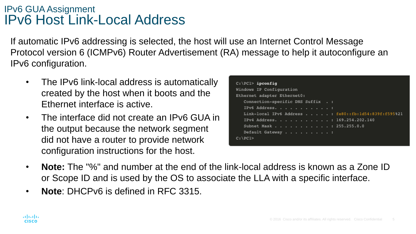#### IPv6 GUA Assignment IPv6 Host Link-Local Address

If automatic IPv6 addressing is selected, the host will use an Internet Control Message Protocol version 6 (ICMPv6) Router Advertisement (RA) message to help it autoconfigure an IPv6 configuration.

- The IPv6 link-local address is automatically created by the host when it boots and the Ethernet interface is active.
- The interface did not create an IPv6 GUA in the output because the network segment did not have a router to provide network configuration instructions for the host.

| $C:\P{C1>ipconfig}$                                  |  |  |  |  |  |  |
|------------------------------------------------------|--|--|--|--|--|--|
| Windows IP Configuration                             |  |  |  |  |  |  |
| Ethernet adapter Ethernet0:                          |  |  |  |  |  |  |
| Connection-specific DNS Suffix . :                   |  |  |  |  |  |  |
| IPv6 Address. :                                      |  |  |  |  |  |  |
| Link-local IPv6 Address : fe80::fb:ld54:839f:f595%21 |  |  |  |  |  |  |
| IPv4 Address. 169.254.202.140                        |  |  |  |  |  |  |
| Subnet Mask : 255.255.0.0                            |  |  |  |  |  |  |
| Default Gateway :                                    |  |  |  |  |  |  |
| $C:$ PC1>                                            |  |  |  |  |  |  |
|                                                      |  |  |  |  |  |  |

- **Note:** The "%" and number at the end of the link-local address is known as a Zone ID or Scope ID and is used by the OS to associate the LLA with a specific interface.
- **Note**: DHCPv6 is defined in RFC 3315.

almlu **CISCO**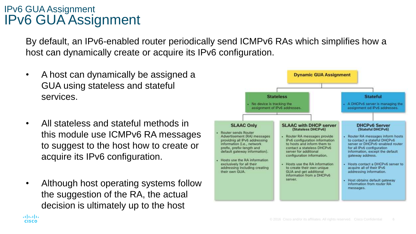#### IPv6 GUA Assignment IPv6 GUA Assignment

By default, an IPv6-enabled router periodically send ICMPv6 RAs which simplifies how a host can dynamically create or acquire its IPv6 configuration.

- A host can dynamically be assigned a GUA using stateless and stateful services.
- All stateless and stateful methods in this module use ICMPv6 RA messages to suggest to the host how to create or acquire its IPv6 configuration.
- Although host operating systems follow the suggestion of the RA, the actual decision is ultimately up to the host

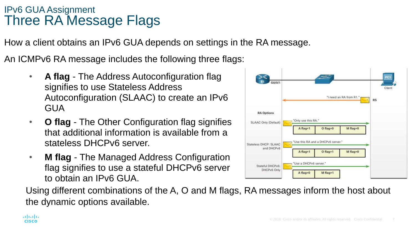#### IPv6 GUA Assignment Three RA Message Flags

How a client obtains an IPv6 GUA depends on settings in the RA message.

An ICMPv6 RA message includes the following three flags:

- **A flag** The Address Autoconfiguration flag signifies to use Stateless Address Autoconfiguration (SLAAC) to create an IPv6 GUA
- **O flag** The Other Configuration flag signifies that additional information is available from a stateless DHCPv6 server.
- **M flag** The Managed Address Configuration flag signifies to use a stateful DHCPv6 server to obtain an IPv6 GUA.



Using different combinations of the A, O and M flags, RA messages inform the host about the dynamic options available.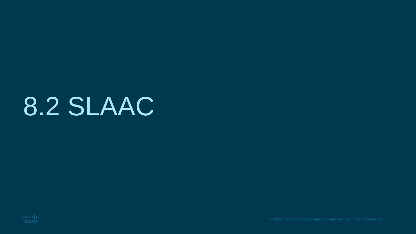### 8.2 SLAAC

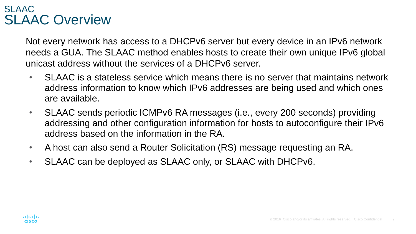#### SLAAC SLAAC Overview

Not every network has access to a DHCPv6 server but every device in an IPv6 network needs a GUA. The SLAAC method enables hosts to create their own unique IPv6 global unicast address without the services of a DHCPv6 server.

- SLAAC is a stateless service which means there is no server that maintains network address information to know which IPv6 addresses are being used and which ones are available.
- SLAAC sends periodic ICMPv6 RA messages (i.e., every 200 seconds) providing addressing and other configuration information for hosts to autoconfigure their IPv6 address based on the information in the RA.
- A host can also send a Router Solicitation (RS) message requesting an RA.
- SLAAC can be deployed as SLAAC only, or SLAAC with DHCPv6.

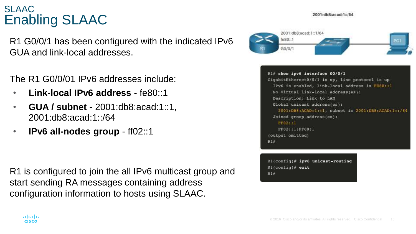2001:db8:acad:1:/64

#### SLAAC Enabling SLAAC

R1 G0/0/1 has been configured with the indicated IPv6 GUA and link-local addresses.

The R1 G0/0/01 IPv6 addresses include:

- **Link-local IPv6 address** fe80::1
- **GUA / subnet** 2001:db8:acad:1::1, 2001:db8:acad:1::/64
- **IPv6 all-nodes group** ff02::1

R1 is configured to join the all IPv6 multicast group and start sending RA messages containing address configuration information to hosts using SLAAC.





 $R1$ (config)# ipv6 unicast-routing  $R1$ (config)# exit  $R1#$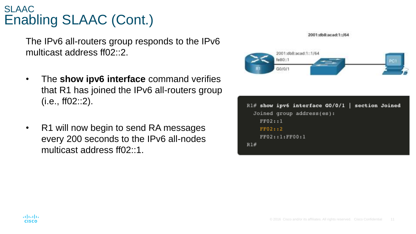#### SLAAC Enabling SLAAC (Cont.)

The IPv6 all-routers group responds to the IPv6 multicast address ff02::2.

- The **show ipv6 interface** command verifies that R1 has joined the IPv6 all-routers group (i.e., ff02::2).
- R1 will now begin to send RA messages every 200 seconds to the IPv6 all-nodes multicast address ff02:1

2001:db8:acad:1::/64



|         |                | $R1#$ show ipv6 interface GO/O/1   section Joined |  |  |
|---------|----------------|---------------------------------------------------|--|--|
|         |                | Joined group address(es):                         |  |  |
| FF02:1  |                |                                                   |  |  |
| FF02::2 |                |                                                   |  |  |
|         | FF02::1:FF00:1 |                                                   |  |  |
| R1#     |                |                                                   |  |  |
|         |                |                                                   |  |  |

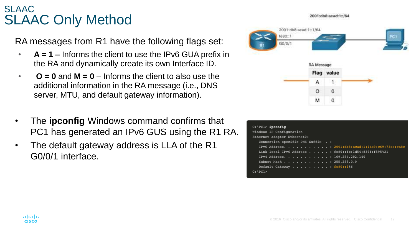#### SLAAC SLAAC Only Method

RA messages from R1 have the following flags set:

- **A = 1 –** Informs the client to use the IPv6 GUA prefix in the RA and dynamically create its own Interface ID.
- $\bullet$   $\bullet$  **O** = 0 and  $M = 0$  Informs the client to also use the additional information in the RA message (i.e., DNS server, MTU, and default gateway information).
- The **ipconfig** Windows command confirms that PC1 has generated an IPv6 GUS using the R1 RA.
- The default gateway address is LLA of the R1 G0/0/1 interface.



| $C:\PC1>$ ipconfig                                   |                                                  |
|------------------------------------------------------|--------------------------------------------------|
| Windows IP Configuration                             |                                                  |
| Ethernet adapter Ethernet0:                          |                                                  |
| Connection-specific DNS Suffix . :                   |                                                  |
|                                                      | IPv6 Address. 2001:db8:acad:1:1de9:c69:73ee:ca8c |
| Link-local IPv6 Address : fe80::fb:ld54:839f:f595%21 |                                                  |
| IPv4 Address. 169.254.202.140                        |                                                  |
| Subnet Mask : 255.255.0.0                            |                                                  |
| Default Gateway fe80::186                            |                                                  |
| $C: \P{PC1>}$                                        |                                                  |

#### almlu **CISCO**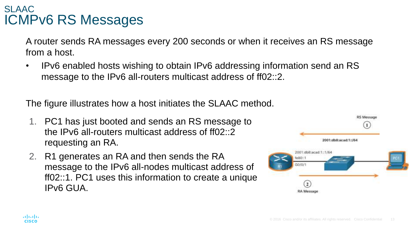#### SLAAC ICMPv6 RS Messages

A router sends RA messages every 200 seconds or when it receives an RS message from a host.

• IPv6 enabled hosts wishing to obtain IPv6 addressing information send an RS message to the IPv6 all-routers multicast address of ff02::2.

The figure illustrates how a host initiates the SLAAC method.

- 1. PC1 has just booted and sends an RS message to the IPv6 all-routers multicast address of ff02::2 requesting an RA.
- 2. R1 generates an RA and then sends the RA message to the IPv6 all-nodes multicast address of ff02::1. PC1 uses this information to create a unique IPv6 GUA.

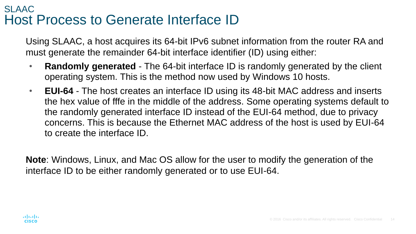#### SLAAC Host Process to Generate Interface ID

Using SLAAC, a host acquires its 64-bit IPv6 subnet information from the router RA and must generate the remainder 64-bit interface identifier (ID) using either:

- **Randomly generated** The 64-bit interface ID is randomly generated by the client operating system. This is the method now used by Windows 10 hosts.
- **EUI-64** The host creates an interface ID using its 48-bit MAC address and inserts the hex value of fffe in the middle of the address. Some operating systems default to the randomly generated interface ID instead of the EUI-64 method, due to privacy concerns. This is because the Ethernet MAC address of the host is used by EUI-64 to create the interface ID.

**Note**: Windows, Linux, and Mac OS allow for the user to modify the generation of the interface ID to be either randomly generated or to use EUI-64.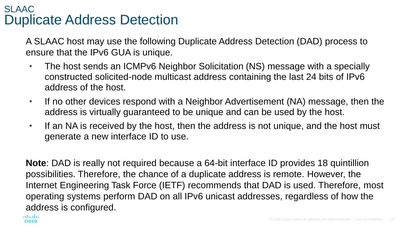#### SLAAC Duplicate Address Detection

A SLAAC host may use the following Duplicate Address Detection (DAD) process to ensure that the IPv6 GUA is unique.

- The host sends an ICMPv6 Neighbor Solicitation (NS) message with a specially constructed solicited-node multicast address containing the last 24 bits of IPv6 address of the host.
- If no other devices respond with a Neighbor Advertisement (NA) message, then the address is virtually guaranteed to be unique and can be used by the host.
- If an NA is received by the host, then the address is not unique, and the host must generate a new interface ID to use.

**Note**: DAD is really not required because a 64-bit interface ID provides 18 quintillion possibilities. Therefore, the chance of a duplicate address is remote. However, the Internet Engineering Task Force (IETF) recommends that DAD is used. Therefore, most operating systems perform DAD on all IPv6 unicast addresses, regardless of how the address is configured.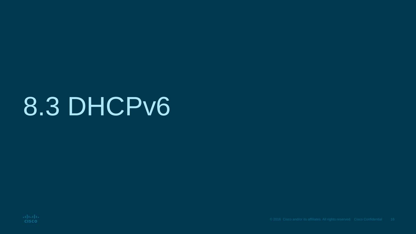### 8.3 DHCPv6

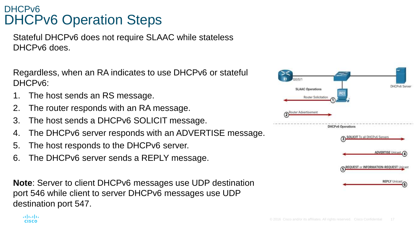#### DHCPv6 DHCPv6 Operation Steps

Stateful DHCPv6 does not require SLAAC while stateless DHCPv6 does.

Regardless, when an RA indicates to use DHCPv6 or stateful DHCPv6:

The host sends an RS message.

altala. **CISCO** 

- 2. The router responds with an RA message.
- 3. The host sends a DHCPv6 SOLICIT message.
- 4. The DHCPv6 server responds with an ADVERTISE message.
- 5. The host responds to the DHCPv6 server.
- 6. The DHCPv6 server sends a REPLY message.

**Note**: Server to client DHCPv6 messages use UDP destination port 546 while client to server DHCPv6 messages use UDP destination port 547.

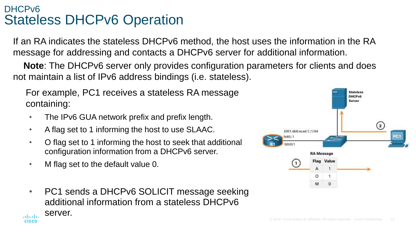#### DHCPv6 Stateless DHCPv6 Operation

If an RA indicates the stateless DHCPv6 method, the host uses the information in the RA message for addressing and contacts a DHCPv6 server for additional information.

**Note**: The DHCPv6 server only provides configuration parameters for clients and does not maintain a list of IPv6 address bindings (i.e. stateless).

For example, PC1 receives a stateless RA message containing:

- The IPv6 GUA network prefix and prefix length.
- A flag set to 1 informing the host to use SLAAC.
- O flag set to 1 informing the host to seek that additional configuration information from a DHCPv6 server.
- M flag set to the default value 0.
- PC1 sends a DHCPv6 SOLICIT message seeking additional information from a stateless DHCPv6 server.aliah. **CISCO**

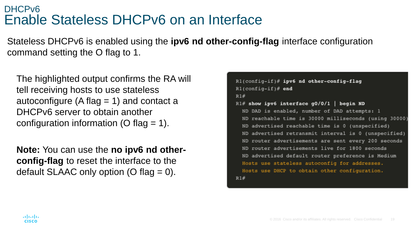#### DHCPv6 Enable Stateless DHCPv6 on an Interface

Stateless DHCPv6 is enabled using the **ipv6 nd other-config-flag** interface configuration command setting the O flag to 1.

The highlighted output confirms the RA will tell receiving hosts to use stateless autoconfigure (A flag  $= 1$ ) and contact a DHCPv6 server to obtain another configuration information (O flag  $= 1$ ).

**Note:** You can use the **no ipv6 nd otherconfig-flag** to reset the interface to the default SLAAC only option (O flag  $= 0$ ).

```
Rl(config-if)# ipv6 nd other-config-flag
R1(config-if)# end
R1#R1# show ipv6 interface g0/0/1 | begin ND
 ND DAD is enabled, number of DAD attempts: 1
 ND reachable time is 30000 milliseconds (using 30000)
 ND advertised reachable time is 0 (unspecified)
 ND advertised retransmit interval is 0 (unspecified)
 ND router advertisements are sent every 200 seconds
 ND router advertisements live for 1800 seconds
 ND advertised default router preference is Medium
  Hosts use stateless autoconfig for addresses.
  Hosts use DHCP to obtain other configuration.
R1#
```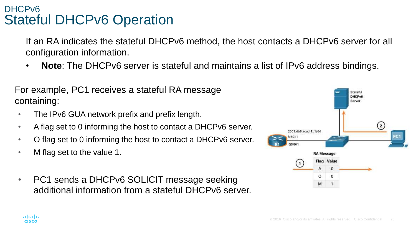#### DHCPv6 Stateful DHCPv6 Operation

If an RA indicates the stateful DHCPv6 method, the host contacts a DHCPv6 server for all configuration information.

• **Note**: The DHCPv6 server is stateful and maintains a list of IPv6 address bindings.

For example, PC1 receives a stateful RA message containing:

- The IPv6 GUA network prefix and prefix length.
- A flag set to 0 informing the host to contact a DHCPv6 server.
- O flag set to 0 informing the host to contact a DHCPv6 server.
- M flag set to the value 1.
- PC1 sends a DHCPv6 SOLICIT message seeking additional information from a stateful DHCPv6 server.



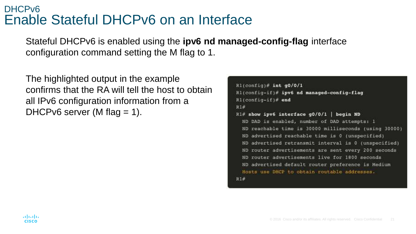#### DHCPv6 Enable Stateful DHCPv6 on an Interface

Stateful DHCPv6 is enabled using the **ipv6 nd managed-config-flag** interface configuration command setting the M flag to 1.

The highlighted output in the example confirms that the RA will tell the host to obtain all IPv6 configuration information from a DHCPv6 server (M flag  $= 1$ ).

```
R1(config)# int g0/0/1
Rl(config-if)# ipv6 nd managed-config-flag
R1(config-if)# end
R1#
R1# show ipv6 interface g0/0/1 | begin ND
  ND DAD is enabled, number of DAD attempts: I
  ND reachable time is 30000 milliseconds (using 30000)
  ND advertised reachable time is 0 (unspecified)
  ND advertised retransmit interval is 0 (unspecified)
 ND router advertisements are sent every 200 seconds
  ND router advertisements live for 1800 seconds
  ND advertised default router preference is Medium
  Hosts use DHCP to obtain routable addresses.
R1#
```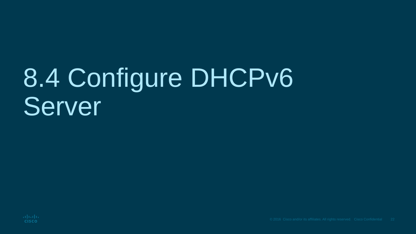# 8.4 Configure DHCPv6 **Server**

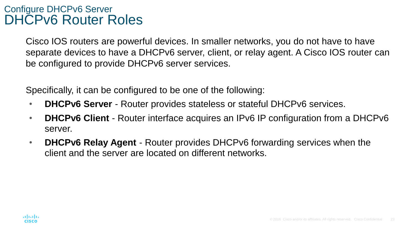#### Configure DHCPv6 Server DHCPv6 Router Roles

Cisco IOS routers are powerful devices. In smaller networks, you do not have to have separate devices to have a DHCPv6 server, client, or relay agent. A Cisco IOS router can be configured to provide DHCPv6 server services.

Specifically, it can be configured to be one of the following:

- **DHCPv6 Server** Router provides stateless or stateful DHCPv6 services.
- **DHCPv6 Client** Router interface acquires an IPv6 IP configuration from a DHCPv6 server.
- **DHCPv6 Relay Agent** Router provides DHCPv6 forwarding services when the client and the server are located on different networks.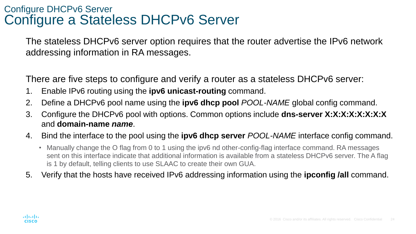#### Configure DHCPv6 Server Configure a Stateless DHCPv6 Server

The stateless DHCPv6 server option requires that the router advertise the IPv6 network addressing information in RA messages.

There are five steps to configure and verify a router as a stateless DHCPv6 server:

- 1. Enable IPv6 routing using the **ipv6 unicast-routing** command.
- 2. Define a DHCPv6 pool name using the **ipv6 dhcp pool** *POOL-NAME* global config command.
- 3. Configure the DHCPv6 pool with options. Common options include **dns-server X:X:X:X:X:X:X:X** and **domain-name** *name*.
- 4. Bind the interface to the pool using the **ipv6 dhcp server** *POOL-NAME* interface config command.
	- Manually change the O flag from 0 to 1 using the ipv6 nd other-config-flag interface command. RA messages sent on this interface indicate that additional information is available from a stateless DHCPv6 server. The A flag is 1 by default, telling clients to use SLAAC to create their own GUA.
- 5. Verify that the hosts have received IPv6 addressing information using the **ipconfig /all** command.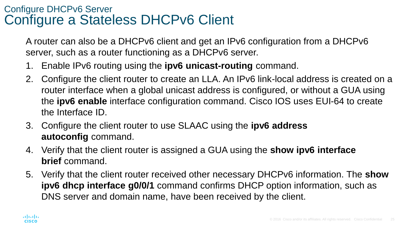#### Configure DHCPv6 Server Configure a Stateless DHCPv6 Client

A router can also be a DHCPv6 client and get an IPv6 configuration from a DHCPv6 server, such as a router functioning as a DHCPv6 server.

- 1. Enable IPv6 routing using the **ipv6 unicast-routing** command.
- 2. Configure the client router to create an LLA. An IPv6 link-local address is created on a router interface when a global unicast address is configured, or without a GUA using the **ipv6 enable** interface configuration command. Cisco IOS uses EUI-64 to create the Interface ID.
- 3. Configure the client router to use SLAAC using the **ipv6 address autoconfig** command.
- 4. Verify that the client router is assigned a GUA using the **show ipv6 interface brief** command.
- 5. Verify that the client router received other necessary DHCPv6 information. The **show ipv6 dhcp interface g0/0/1** command confirms DHCP option information, such as DNS server and domain name, have been received by the client.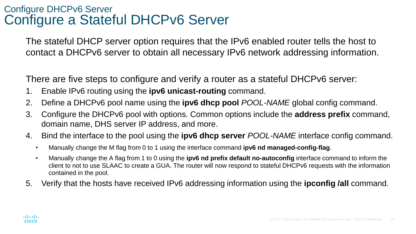#### Configure DHCPv6 Server Configure a Stateful DHCPv6 Server

The stateful DHCP server option requires that the IPv6 enabled router tells the host to contact a DHCPv6 server to obtain all necessary IPv6 network addressing information.

There are five steps to configure and verify a router as a stateful DHCPv6 server:

- 1. Enable IPv6 routing using the **ipv6 unicast-routing** command.
- 2. Define a DHCPv6 pool name using the **ipv6 dhcp pool** *POOL-NAME* global config command.
- 3. Configure the DHCPv6 pool with options. Common options include the **address prefix** command, domain name, DHS server IP address, and more.
- 4. Bind the interface to the pool using the **ipv6 dhcp server** *POOL-NAME* interface config command.
	- Manually change the M flag from 0 to 1 using the interface command **ipv6 nd managed-config-flag**.
	- Manually change the A flag from 1 to 0 using the **ipv6 nd prefix default no-autoconfig** interface command to inform the client to not to use SLAAC to create a GUA. The router will now respond to stateful DHCPv6 requests with the information contained in the pool.
- 5. Verify that the hosts have received IPv6 addressing information using the **ipconfig /all** command.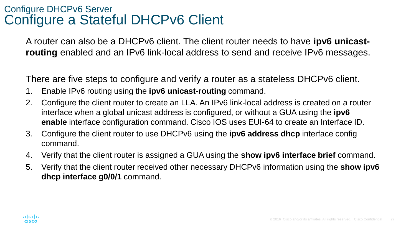#### Configure DHCPv6 Server Configure a Stateful DHCPv6 Client

A router can also be a DHCPv6 client. The client router needs to have **ipv6 unicastrouting** enabled and an IPv6 link-local address to send and receive IPv6 messages.

There are five steps to configure and verify a router as a stateless DHCPv6 client.

- 1. Enable IPv6 routing using the **ipv6 unicast-routing** command.
- 2. Configure the client router to create an LLA. An IPv6 link-local address is created on a router interface when a global unicast address is configured, or without a GUA using the **ipv6 enable** interface configuration command. Cisco IOS uses EUI-64 to create an Interface ID.
- 3. Configure the client router to use DHCPv6 using the **ipv6 address dhcp** interface config command.
- 4. Verify that the client router is assigned a GUA using the **show ipv6 interface brief** command.
- 5. Verify that the client router received other necessary DHCPv6 information using the **show ipv6 dhcp interface g0/0/1** command.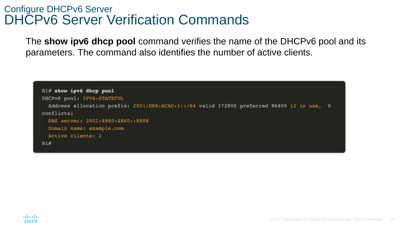#### Configure DHCPv6 Server DHCPv6 Server Verification Commands

The **show ipv6 dhcp pool** command verifies the name of the DHCPv6 pool and its parameters. The command also identifies the number of active clients.

```
R1# show ipv6 dhcp pool
DHCPv6 pool: IPV6-STATEFUL
 Address allocation prefix: 2001:DB8:ACAD:1::/64 valid 172800 preferred 86400 (2 in use, 0
conflicts)
 DNS server: 2001:4860:4860::8888
 Domain name: example.com
 Active clients: 2
R1#
```
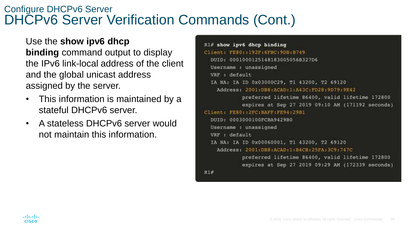#### Configure DHCPv6 Server DHCPv6 Server Verification Commands (Cont.)

Use the **show ipv6 dhcp**

**binding** command output to display the IPv6 link-local address of the client and the global unicast address assigned by the server.

- This information is maintained by a stateful DHCPv6 server.
- A stateless DHCPv6 server would not maintain this information.

```
R1# show ipv6 dhcp binding
Client: FE80::192F:6FBC:9DB:B749
  DUID: 0001000125148183005056B327D6
  Username : unassigned
  VRF : default
  IA NA: IA ID 0x03000C29, T1 43200, T2 69120
    Address: 2001:DB8:ACAD:1:A43C:FD28:9D79:9E42
            preferred lifetime 86400, valid lifetime 172800
            expires at Sep 27 2019 09:10 AM (171192 seconds)
Client: FE80.:2FC:BAFF:FE94:29BI
  DUID: 0003000100FCBA9429B0
  Username : unassigned
  VRF : default
  IA NA: IA ID 0x00060001, T1 43200, T2 69120
    Address: 2001:DB8.ACAD:1:B4CB:25FA:3C9:747C
            preferred lifetime 86400, valid lifetime 172800
            expires at Sep 27 2019 09:29 AM (172339 seconds)
R1#
```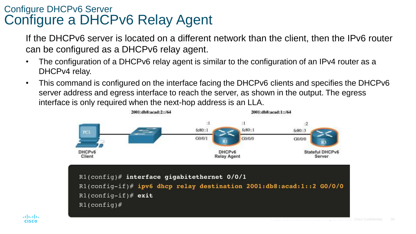#### Configure DHCPv6 Server Configure a DHCPv6 Relay Agent

If the DHCPv6 server is located on a different network than the client, then the IPv6 router can be configured as a DHCPv6 relay agent.

- The configuration of a DHCPv6 relay agent is similar to the configuration of an IPv4 router as a DHCPv4 relay.
- This command is configured on the interface facing the DHCPv6 clients and specifies the DHCPv6 server address and egress interface to reach the server, as shown in the output. The egress interface is only required when the next-hop address is an LLA.



aludu **CISCO**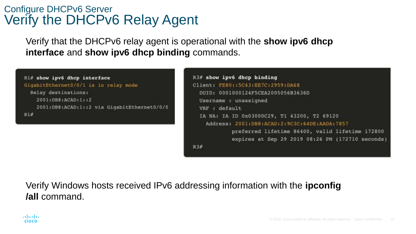#### Configure DHCPv6 Server Verify the DHCPv6 Relay Agent

Verify that the DHCPv6 relay agent is operational with the **show ipv6 dhcp interface** and **show ipv6 dhcp binding** commands.





Verify Windows hosts received IPv6 addressing information with the **ipconfig /all** command.

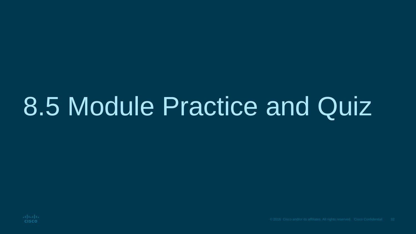### 8.5 Module Practice and Quiz

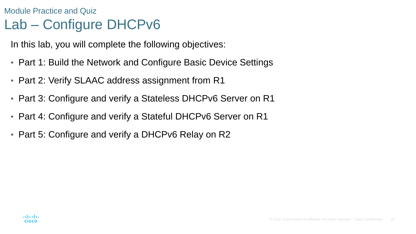### Module Practice and Quiz Lab – Configure DHCPv6

In this lab, you will complete the following objectives:

- Part 1: Build the Network and Configure Basic Device Settings
- Part 2: Verify SLAAC address assignment from R1
- Part 3: Configure and verify a Stateless DHCPv6 Server on R1
- Part 4: Configure and verify a Stateful DHCPv6 Server on R1
- Part 5: Configure and verify a DHCPv6 Relay on R2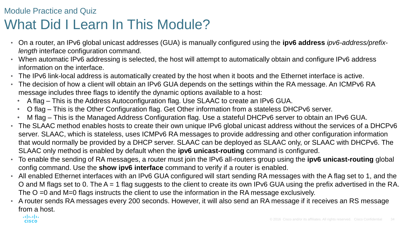#### Module Practice and Quiz What Did I Learn In This Module?

- On a router, an IPv6 global unicast addresses (GUA) is manually configured using the **ipv6 address** *ipv6-address/prefixlength* interface configuration command.
- When automatic IPv6 addressing is selected, the host will attempt to automatically obtain and configure IPv6 address information on the interface.
- The IPv6 link-local address is automatically created by the host when it boots and the Ethernet interface is active.
- The decision of how a client will obtain an IPv6 GUA depends on the settings within the RA message. An ICMPv6 RA message includes three flags to identify the dynamic options available to a host:
	- A flag This is the Address Autoconfiguration flag. Use SLAAC to create an IPv6 GUA.
	- O flag This is the Other Configuration flag. Get Other information from a stateless DHCPv6 server.
	- M flag This is the Managed Address Configuration flag. Use a stateful DHCPv6 server to obtain an IPv6 GUA.
- The SLAAC method enables hosts to create their own unique IPv6 global unicast address without the services of a DHCPv6 server. SLAAC, which is stateless, uses ICMPv6 RA messages to provide addressing and other configuration information that would normally be provided by a DHCP server. SLAAC can be deployed as SLAAC only, or SLAAC with DHCPv6. The SLAAC only method is enabled by default when the **ipv6 unicast-routing** command is configured.
- To enable the sending of RA messages, a router must join the IPv6 all-routers group using the **ipv6 unicast-routing** global config command. Use the **show ipv6 interface** command to verify if a router is enabled.
- All enabled Ethernet interfaces with an IPv6 GUA configured will start sending RA messages with the A flag set to 1, and the O and M flags set to 0. The A = 1 flag suggests to the client to create its own IPv6 GUA using the prefix advertised in the RA. The O =0 and M=0 flags instructs the client to use the information in the RA message exclusively.
- A router sends RA messages every 200 seconds. However, it will also send an RA message if it receives an RS message from a host.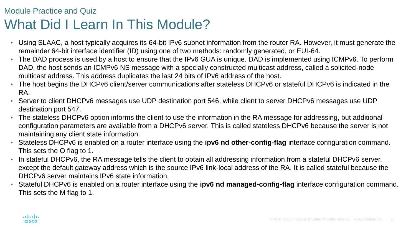#### Module Practice and Quiz What Did I Learn In This Module?

- Using SLAAC, a host typically acquires its 64-bit IPv6 subnet information from the router RA. However, it must generate the remainder 64-bit interface identifier (ID) using one of two methods: randomly generated, or EUI-64.
- The DAD process is used by a host to ensure that the IPv6 GUA is unique. DAD is implemented using ICMPv6. To perform DAD, the host sends an ICMPv6 NS message with a specially constructed multicast address, called a solicited-node multicast address. This address duplicates the last 24 bits of IPv6 address of the host.
- The host begins the DHCPv6 client/server communications after stateless DHCPv6 or stateful DHCPv6 is indicated in the RA.
- Server to client DHCPv6 messages use UDP destination port 546, while client to server DHCPv6 messages use UDP destination port 547.
- The stateless DHCPv6 option informs the client to use the information in the RA message for addressing, but additional configuration parameters are available from a DHCPv6 server. This is called stateless DHCPv6 because the server is not maintaining any client state information.
- Stateless DHCPv6 is enabled on a router interface using the **ipv6 nd other-config-flag** interface configuration command. This sets the O flag to 1.
- In stateful DHCPv6, the RA message tells the client to obtain all addressing information from a stateful DHCPv6 server, except the default gateway address which is the source IPv6 link-local address of the RA. It is called stateful because the DHCPv6 server maintains IPv6 state information.
- Stateful DHCPv6 is enabled on a router interface using the **ipv6 nd managed-config-flag** interface configuration command. This sets the M flag to 1.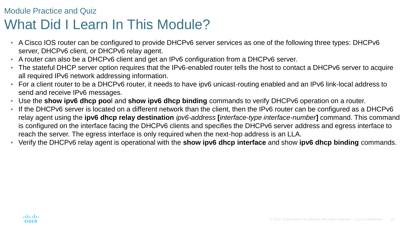#### Module Practice and Quiz What Did I Learn In This Module?

- A Cisco IOS router can be configured to provide DHCPv6 server services as one of the following three types: DHCPv6 server, DHCPv6 client, or DHCPv6 relay agent.
- A router can also be a DHCPv6 client and get an IPv6 configuration from a DHCPv6 server.
- The stateful DHCP server option requires that the IPv6-enabled router tells the host to contact a DHCPv6 server to acquire all required IPv6 network addressing information.
- For a client router to be a DHCPv6 router, it needs to have ipv6 unicast-routing enabled and an IPv6 link-local address to send and receive IPv6 messages.
- Use the **show ipv6 dhcp poo**l and **show ipv6 dhcp binding** commands to verify DHCPv6 operation on a router.
- If the DHCPv6 server is located on a different network than the client, then the IPv6 router can be configured as a DHCPv6 relay agent using the **ipv6 dhcp relay destination** *ipv6-address* **[***interface-type interface-number***]** command. This command is configured on the interface facing the DHCPv6 clients and specifies the DHCPv6 server address and egress interface to reach the server. The egress interface is only required when the next-hop address is an LLA.
- Verify the DHCPv6 relay agent is operational with the **show ipv6 dhcp interface** and show **ipv6 dhcp binding** commands.